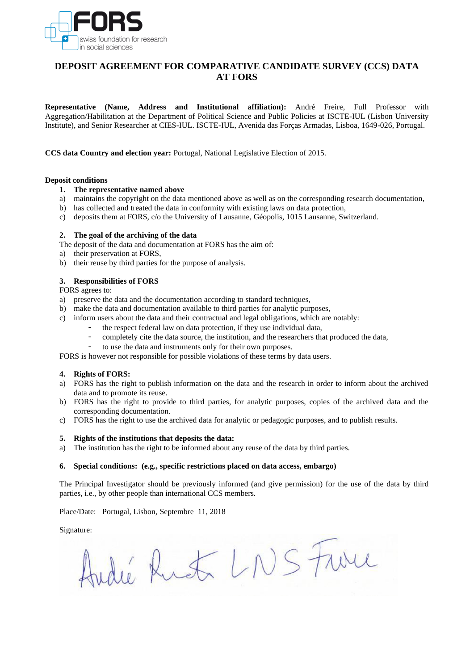

# **DEPOSIT AGREEMENT FOR COMPARATIVE CANDIDATE SURVEY (CCS) DATA AT FORS**

**Representative (Name, Address and Institutional affiliation):** André Freire, Full Professor with Aggregation/Habilitation at the Department of Political Science and Public Policies at ISCTE-IUL (Lisbon University Institute), and Senior Researcher at CIES-IUL. ISCTE-IUL, Avenida das Forças Armadas, Lisboa, 1649-026, Portugal.

**CCS data Country and election year:** Portugal, National Legislative Election of 2015.

#### **Deposit conditions**

#### **1. The representative named above**

- a) maintains the copyright on the data mentioned above as well as on the corresponding research documentation,
- b) has collected and treated the data in conformity with existing laws on data protection,
- c) deposits them at FORS, c/o the University of Lausanne, Géopolis, 1015 Lausanne, Switzerland.

## **2. The goal of the archiving of the data**

The deposit of the data and documentation at FORS has the aim of:

- a) their preservation at FORS,
- b) their reuse by third parties for the purpose of analysis.

## **3. Responsibilities of FORS**

FORS agrees to:

- a) preserve the data and the documentation according to standard techniques,
- b) make the data and documentation available to third parties for analytic purposes,
- c) inform users about the data and their contractual and legal obligations, which are notably:
	- the respect federal law on data protection, if they use individual data,
	- completely cite the data source, the institution, and the researchers that produced the data,
	- to use the data and instruments only for their own purposes.

FORS is however not responsible for possible violations of these terms by data users.

#### **4. Rights of FORS:**

- a) FORS has the right to publish information on the data and the research in order to inform about the archived data and to promote its reuse.
- b) FORS has the right to provide to third parties, for analytic purposes, copies of the archived data and the corresponding documentation.
- c) FORS has the right to use the archived data for analytic or pedagogic purposes, and to publish results.

## **5. Rights of the institutions that deposits the data:**

a) The institution has the right to be informed about any reuse of the data by third parties.

## **6. Special conditions: (e.g., specific restrictions placed on data access, embargo)**

The Principal Investigator should be previously informed (and give permission) for the use of the data by third parties, i.e., by other people than international CCS members.

Place/Date: Portugal, Lisbon, Septembre 11, 2018

Signature:<br>André Rust LNS Frire